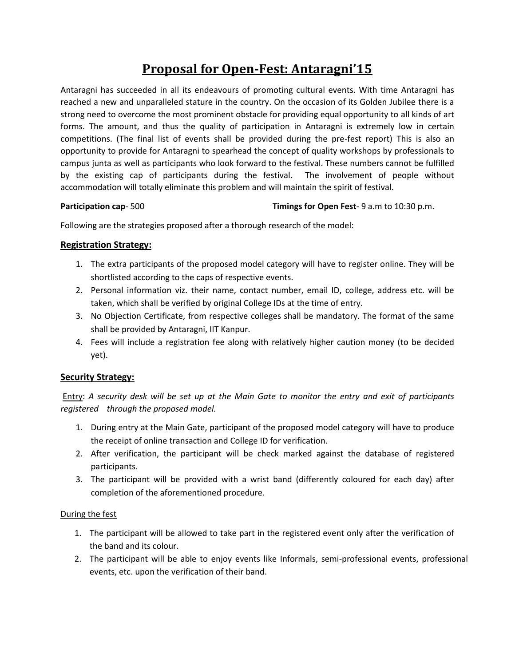# **Proposal for Open-Fest: Antaragni'15**

Antaragni has succeeded in all its endeavours of promoting cultural events. With time Antaragni has reached a new and unparalleled stature in the country. On the occasion of its Golden Jubilee there is a strong need to overcome the most prominent obstacle for providing equal opportunity to all kinds of art forms. The amount, and thus the quality of participation in Antaragni is extremely low in certain competitions. (The final list of events shall be provided during the pre-fest report) This is also an opportunity to provide for Antaragni to spearhead the concept of quality workshops by professionals to campus junta as well as participants who look forward to the festival. These numbers cannot be fulfilled by the existing cap of participants during the festival. The involvement of people without accommodation will totally eliminate this problem and will maintain the spirit of festival.

#### **Participation cap**- 500 **Timings for Open Fest**- 9 a.m to 10:30 p.m.

Following are the strategies proposed after a thorough research of the model:

### **Registration Strategy:**

- 1. The extra participants of the proposed model category will have to register online. They will be shortlisted according to the caps of respective events.
- 2. Personal information viz. their name, contact number, email ID, college, address etc. will be taken, which shall be verified by original College IDs at the time of entry.
- 3. No Objection Certificate, from respective colleges shall be mandatory. The format of the same shall be provided by Antaragni, IIT Kanpur.
- 4. Fees will include a registration fee along with relatively higher caution money (to be decided yet).

### **Security Strategy:**

Entry: *A security desk will be set up at the Main Gate to monitor the entry and exit of participants registered through the proposed model.*

- 1. During entry at the Main Gate, participant of the proposed model category will have to produce the receipt of online transaction and College ID for verification.
- 2. After verification, the participant will be check marked against the database of registered participants.
- 3. The participant will be provided with a wrist band (differently coloured for each day) after completion of the aforementioned procedure.

### During the fest

- 1. The participant will be allowed to take part in the registered event only after the verification of the band and its colour.
- 2. The participant will be able to enjoy events like Informals, semi-professional events, professional events, etc. upon the verification of their band.